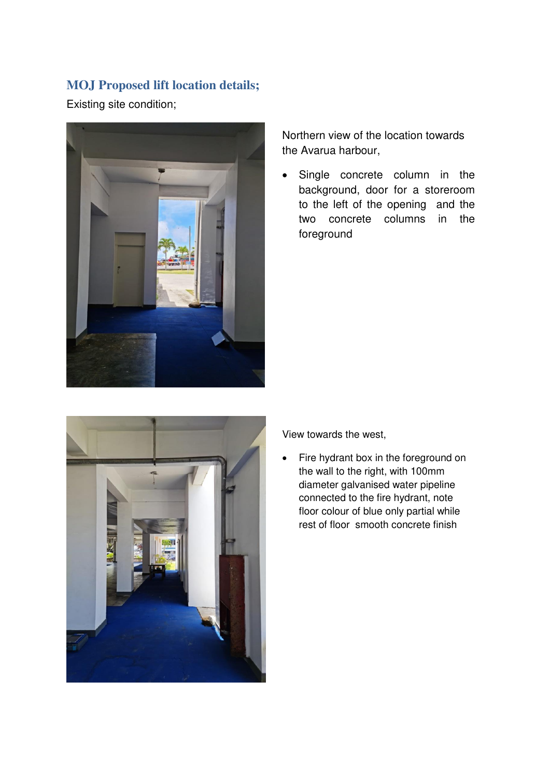## **MOJ Proposed lift location details;**

Existing site condition;



Northern view of the location towards the Avarua harbour,

• Single concrete column in the background, door for a storeroom to the left of the opening and the two concrete columns in the foreground



View towards the west,

• Fire hydrant box in the foreground on the wall to the right, with 100mm diameter galvanised water pipeline connected to the fire hydrant, note floor colour of blue only partial while rest of floor smooth concrete finish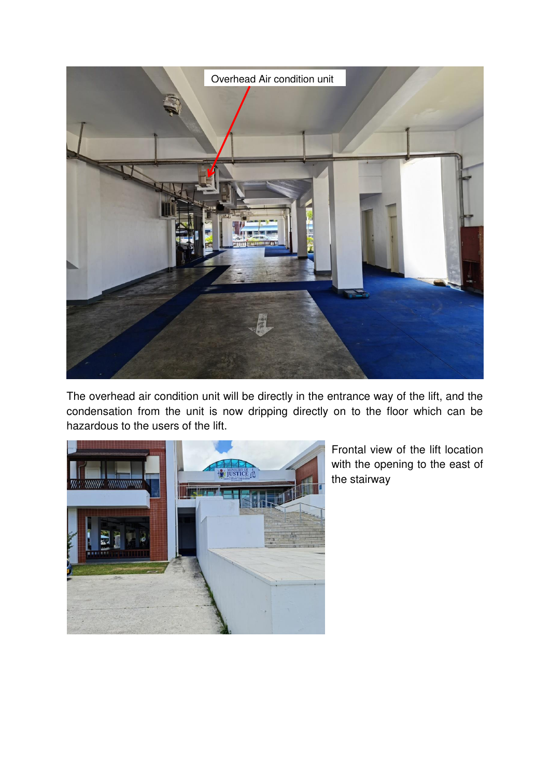

The overhead air condition unit will be directly in the entrance way of the lift, and the condensation from the unit is now dripping directly on to the floor which can be hazardous to the users of the lift.



Frontal view of the lift location with the opening to the east of the stairway